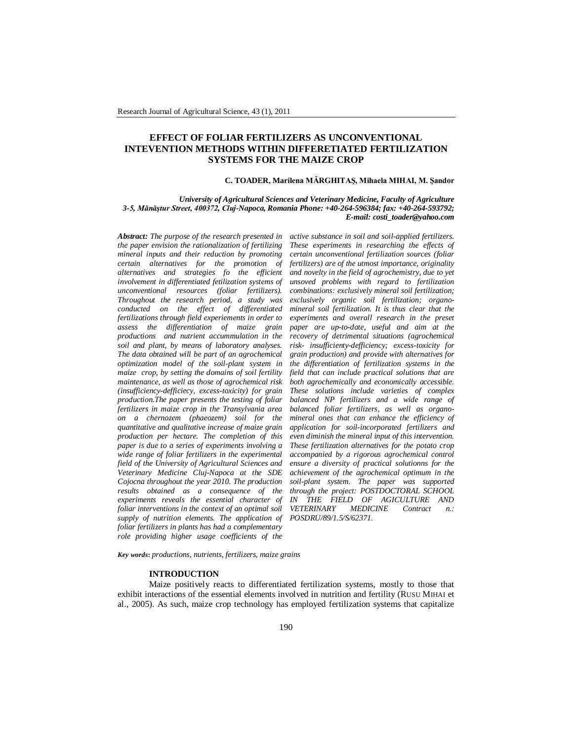# **EFFECT OF FOLIAR FERTILIZERS AS UNCONVENTIONAL INTEVENTION METHODS WITHIN DIFFERETIATED FERTILIZATION SYSTEMS FOR THE MAIZE CROP**

## **C. TOADER, Marilena MĂRGHITAŞ, Mihaela MIHAI, M. Şandor**

## *University of Agricultural Sciences and Veterinary Medicine, Faculty of Agriculture 3-5, Mănăştur Street, 400372, Cluj-Napoca, Romania Phone: +40-264-596384; fax: +40-264-593792; E-mail: costi\_toader@yahoo.com*

*Abstract: The purpose of the research presented in the paper envision the rationalization of fertilizing mineral inputs and their reduction by promoting certain alternatives for the promotion of alternatives and strategies fo the efficient involvement in differentiated fetilization systems of unconventional resources (foliar fertilizers). Throughout the research period, a study was conducted on the effect of differentiated fertilizations through field experiements in order to assess the differentiation of maize grain productions and nutrient accummulation in the soil and plant, by means of laboratory analyses. The data obtained will be part of an agrochemical optimization model of the soil-plant system in maize crop, by setting the domains of soil fertility maintenance, as well as those of agrochemical risk (insufficiency-defficiecy, excess-toxicity) for grain production.The paper presents the testing of foliar fertilizers in maize crop in the Transylvania area on a chernozem (phaeozem) soil for the quantitative and qualitative increase of maize grain production per hectare. The completion of this paper is due to a series of experiments involving a wide range of foliar fertilizers in the experimental field of the University of Agricultural Sciences and Veterinary Medicine Cluj-Napoca at the SDE Cojocna throughout the year 2010. The production results obtained as a consequence of the experiments reveals the essential character of foliar interventions in the context of an optimal soil supply of nutrition elements. The application of foliar fertilizers in plants has had a complementary role providing higher usage coefficients of the* 

*active substance in soil and soil-applied fertilizers. These experiments in researching the effects of certain unconventional fertilization sources (foliar fertilizers) are of the utmost importance, originality and novelty in the field of agrochemistry, due to yet unsoved problems with regard to fertilization combinations: exclusively mineral soil fertilization; exclusively organic soil fertilization; organomineral soil fertilization. It is thus clear that the experiments and overall research in the preset paper are up-to-date, useful and aim at the recovery of detrimental situations (agrochemical risk- insufficienty-defficiency; excess-toxicity for grain production) and provide with alternatives for the differentiation of fertilization systems in the field that can include practical solutions that are both agrochemically and economically accessible. These solutions include varieties of complex balanced NP fertilizers and a wide range of balanced foliar fertilizers, as well as organomineral ones that can enhance the efficiency of application for soil-incorporated fertilizers and even diminish the mineral input of this intervention. These fertilization alternatives for the potato crop accompanied by a rigorous agrochemical control ensure a diversity of practical solutionns for the achievement of the agrochemical optimum in the soil-plant system. The paper was supported through the project: POSTDOCTORAL SCHOOL IN THE FIELD OF AGICULTURE AND VETERINARY MEDICINE Contract n.: POSDRU/89/1.5/S/62371.*

*Key words***:** *productions, nutrients, fertilizers, maize grains*

#### **INTRODUCTION**

Maize positively reacts to differentiated fertilization systems, mostly to those that exhibit interactions of the essential elements involved in nutrition and fertility (RUSU MIHAI et al., 2005). As such, maize crop technology has employed fertilization systems that capitalize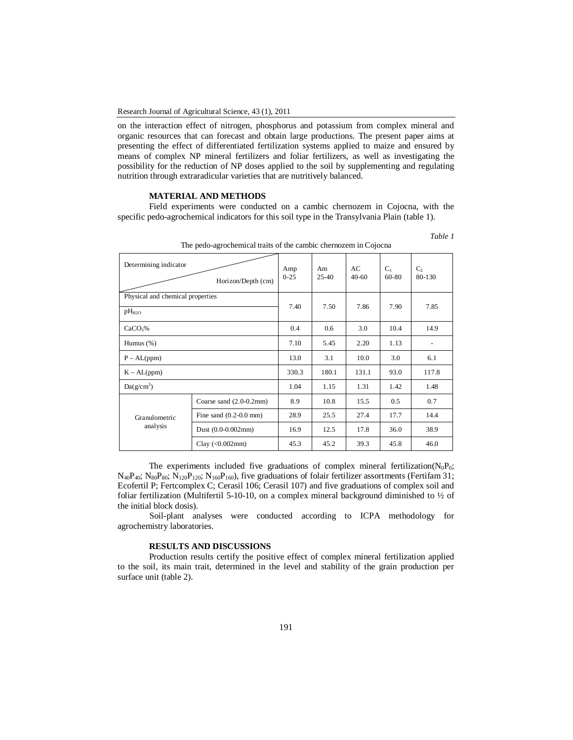on the interaction effect of nitrogen, phosphorus and potassium from complex mineral and organic resources that can forecast and obtain large productions. The present paper aims at presenting the effect of differentiated fertilization systems applied to maize and ensured by means of complex NP mineral fertilizers and foliar fertilizers, as well as investigating the possibility for the reduction of NP doses applied to the soil by supplementing and regulating nutrition through extraradicular varieties that are nutritively balanced.

# **MATERIAL AND METHODS**

Field experiments were conducted on a cambic chernozem in Cojocna, with the specific pedo-agrochemical indicators for this soil type in the Transylvania Plain (table 1).

| <u>rne peus agroenemeur nuns or me eumoie enemolem m cojoeiu</u> |                           |                 |                 |                 |                |                   |
|------------------------------------------------------------------|---------------------------|-----------------|-----------------|-----------------|----------------|-------------------|
| Determining indicator<br>Horizon/Depth (cm)                      |                           | Amp<br>$0 - 25$ | Am<br>$25 - 40$ | AC<br>$40 - 60$ | $C_1$<br>60-80 | $C_{2}$<br>80-130 |
| Physical and chemical properties<br>pH <sub>H2O</sub>            |                           | 7.40            | 7.50            | 7.86            | 7.90           | 7.85              |
| CaCO <sub>3</sub> %                                              |                           | 0.4             | 0.6             | 3.0             | 10.4           | 14.9              |
| Humus $(\%)$                                                     |                           | 7.10            | 5.45            | 2.20            | 1.13           |                   |
| $P - AL(ppm)$                                                    |                           | 13.0            | 3.1             | 10.0            | 3.0            | 6.1               |
| $K - AL(ppm)$                                                    |                           | 330.3           | 180.1           | 131.1           | 93.0           | 117.8             |
| $Da(g/cm^3)$                                                     |                           | 1.04            | 1.15            | 1.31            | 1.42           | 1.48              |
|                                                                  | Coarse sand $(2.0-0.2mm)$ | 8.9             | 10.8            | 15.5            | 0.5            | 0.7               |
| Granulometric<br>analysis                                        | Fine sand $(0.2-0.0$ mm)  | 28.9            | 25.5            | 27.4            | 17.7           | 14.4              |
|                                                                  | Dust $(0.0-0.002$ mm $)$  | 16.9            | 12.5            | 17.8            | 36.0           | 38.9              |
|                                                                  | Clay $(<0.002$ mm)        | 45.3            | 45.2            | 39.3            | 45.8           | 46.0              |

The pedo-agrochemical traits of the cambic chernozem in Cojocna

*Table 1*

The experiments included five graduations of complex mineral fertilization( $N_0P_0$ ;  $N_{40}P_{40}$ ;  $N_{80}P_{80}$ ;  $N_{120}P_{120}$ ;  $N_{160}P_{160}$ ), five graduations of folair fertilizer assortments (Fertifam 31; Ecofertil P; Fertcomplex C; Cerasil 106; Cerasil 107) and five graduations of complex soil and foliar fertilization (Multifertil 5-10-10, on a complex mineral background diminished to  $\frac{1}{2}$  of the initial block dosis).

Soil-plant analyses were conducted according to ICPA methodology for agrochemistry laboratories.

## **RESULTS AND DISCUSSIONS**

Production results certify the positive effect of complex mineral fertilization applied to the soil, its main trait, determined in the level and stability of the grain production per surface unit (table 2).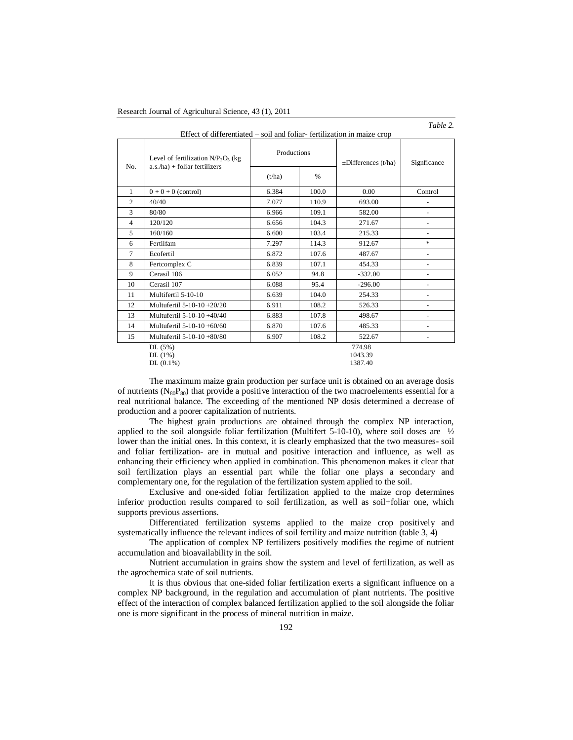Effect of differentiated – soil and foliar- fertilization in maize crop

*Table 2.*

| No.            | Productions<br>Level of fertilization $N/P_2O_5$ (kg<br>$a.s.$ /ha) + foliar fertilizers<br>$\%$<br>(t/ha) |       | $\pm$ Differences (t/ha) | Signficance                  |                          |
|----------------|------------------------------------------------------------------------------------------------------------|-------|--------------------------|------------------------------|--------------------------|
|                |                                                                                                            |       |                          |                              |                          |
| 1              | $0+0+0$ (control)                                                                                          | 6.384 | 100.0                    | 0.00                         | Control                  |
| 2              | 40/40                                                                                                      | 7.077 | 110.9                    | 693.00                       |                          |
| $\overline{3}$ | 80/80                                                                                                      | 6.966 | 109.1                    | 582.00                       | $\overline{\phantom{a}}$ |
| $\overline{4}$ | 120/120                                                                                                    | 6.656 | 104.3                    | 271.67                       | $\overline{\phantom{a}}$ |
| 5              | 160/160                                                                                                    | 6.600 | 103.4                    | 215.33                       | $\overline{\phantom{a}}$ |
| 6              | Fertilfam                                                                                                  | 7.297 | 114.3                    | 912.67                       | $\ast$                   |
| 7              | Ecofertil                                                                                                  | 6.872 | 107.6                    | 487.67                       | $\overline{\phantom{a}}$ |
| 8              | Fertcomplex C                                                                                              | 6.839 | 107.1                    | 454.33                       | $\overline{\phantom{a}}$ |
| 9              | Cerasil 106                                                                                                | 6.052 | 94.8                     | $-332.00$                    |                          |
| 10             | Cerasil 107                                                                                                | 6.088 | 95.4                     | $-296.00$                    |                          |
| 11             | Multifertil 5-10-10                                                                                        | 6.639 | 104.0                    | 254.33                       | $\overline{\phantom{a}}$ |
| 12             | Multufertil 5-10-10 +20/20                                                                                 | 6.911 | 108.2                    | 526.33                       | $\overline{\phantom{a}}$ |
| 13             | Multufertil 5-10-10 +40/40                                                                                 | 6.883 | 107.8                    | 498.67                       |                          |
| 14             | Multufertil 5-10-10 +60/60                                                                                 | 6.870 | 107.6                    | 485.33                       | $\overline{\phantom{a}}$ |
| 15             | Multufertil 5-10-10 +80/80                                                                                 | 6.907 | 108.2                    | 522.67                       |                          |
|                | DL(5%)<br>DL(1%)<br>$DL(0.1\%)$                                                                            |       |                          | 774.98<br>1043.39<br>1387.40 |                          |

The maximum maize grain production per surface unit is obtained on an average dosis of nutrients  $(N_{80}P_{80})$  that provide a positive interaction of the two macroelements essential for a real nutritional balance. The exceeding of the mentioned NP dosis determined a decrease of production and a poorer capitalization of nutrients.

The highest grain productions are obtained through the complex NP interaction, applied to the soil alongside foliar fertilization (Multifert 5-10-10), where soil doses are  $\frac{1}{2}$ lower than the initial ones. In this context, it is clearly emphasized that the two measures- soil and foliar fertilization- are in mutual and positive interaction and influence, as well as enhancing their efficiency when applied in combination. This phenomenon makes it clear that soil fertilization plays an essential part while the foliar one plays a secondary and complementary one, for the regulation of the fertilization system applied to the soil.

Exclusive and one-sided foliar fertilization applied to the maize crop determines inferior production results compared to soil fertilization, as well as soil+foliar one, which supports previous assertions.

Differentiated fertilization systems applied to the maize crop positively and systematically influence the relevant indices of soil fertility and maize nutrition (table 3, 4)

The application of complex NP fertilizers positively modifies the regime of nutrient accumulation and bioavailability in the soil.

Nutrient accumulation in grains show the system and level of fertilization, as well as the agrochemica state of soil nutrients.

It is thus obvious that one-sided foliar fertilization exerts a significant influence on a complex NP background, in the regulation and accumulation of plant nutrients. The positive effect of the interaction of complex balanced fertilization applied to the soil alongside the foliar one is more significant in the process of mineral nutrition in maize.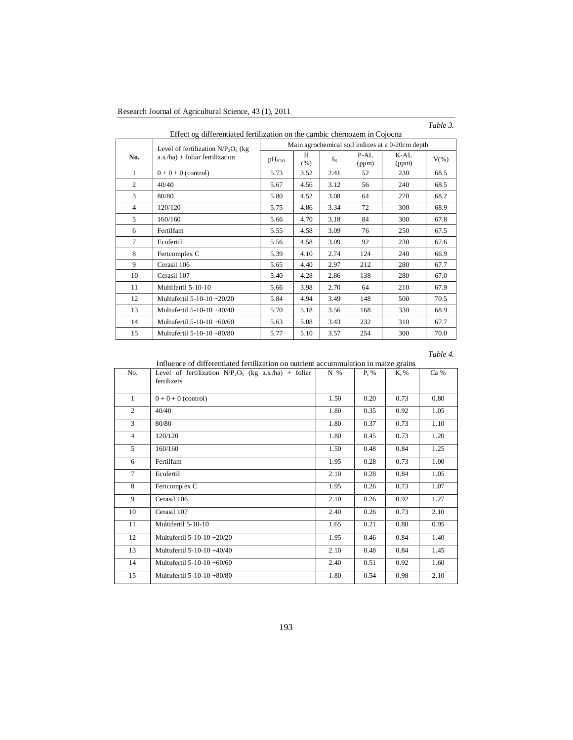| Research Journal of Agricultural Science, 43 (1), 2011 |  |  |  |  |
|--------------------------------------------------------|--|--|--|--|
|--------------------------------------------------------|--|--|--|--|

# *Table 3.*

| LITCCU OG UNTERVIDUOU TELINIZATION ON THE CANDIDIC CHEMOZENN IN COJOCHA |                                       |                                                  |          |       |               |               |         |  |
|-------------------------------------------------------------------------|---------------------------------------|--------------------------------------------------|----------|-------|---------------|---------------|---------|--|
|                                                                         | Level of fertilization $N/P_2O_5$ (kg | Main agrochemical soil indices at a 0-20cm depth |          |       |               |               |         |  |
| No.                                                                     | $a.s./ha) + foliar fertilization$     | pH <sub>H2O</sub>                                | H<br>(%) | $I_N$ | P-AL<br>(ppm) | K-AL<br>(ppm) | $V(\%)$ |  |
| 1                                                                       | $0+0+0$ (control)                     | 5.73                                             | 3.52     | 2.41  | 52            | 230           | 68.5    |  |
| 2                                                                       | 40/40                                 | 5.67                                             | 4.56     | 3.12  | 56            | 240           | 68.5    |  |
| 3                                                                       | 80/80                                 | 5.80                                             | 4.52     | 3.08  | 64            | 270           | 68.2    |  |
| $\overline{4}$                                                          | 120/120                               | 5.75                                             | 4.86     | 3.34  | 72            | 300           | 68.9    |  |
| 5                                                                       | 160/160                               | 5.66                                             | 4.70     | 3.18  | 84            | 300           | 67.8    |  |
| 6                                                                       | Fertilfam                             | 5.55                                             | 4.58     | 3.09  | 76            | 250           | 67.5    |  |
| 7                                                                       | Ecofertil                             | 5.56                                             | 4.58     | 3.09  | 92            | 230           | 67.6    |  |
| 8                                                                       | Fertcomplex C                         | 5.39                                             | 4.10     | 2.74  | 124           | 240           | 66.9    |  |
| 9                                                                       | Cerasil 106                           | 5.65                                             | 4.40     | 2.97  | 212           | 280           | 67.7    |  |
| 10                                                                      | Cerasil 107                           | 5.40                                             | 4.28     | 2.86  | 138           | 280           | 67.0    |  |
| 11                                                                      | Multifertil 5-10-10                   | 5.66                                             | 3.98     | 2.70  | 64            | 210           | 67.9    |  |
| 12                                                                      | Multufertil 5-10-10 +20/20            | 5.84                                             | 4.94     | 3.49  | 148           | 500           | 70.5    |  |
| 13                                                                      | Multufertil 5-10-10 +40/40            | 5.70                                             | 5.18     | 3.56  | 168           | 330           | 68.9    |  |
| 14                                                                      | Multufertil 5-10-10 +60/60            | 5.63                                             | 5.08     | 3.43  | 232           | 310           | 67.7    |  |
| 15                                                                      | Multufertil 5-10-10 +80/80            | 5.77                                             | 5.10     | 3.57  | 254           | 300           | 70.0    |  |

Effect og differentiated fertilization on the cambic chernozem in Cojocna

*Table 4.*

Influence of differentiated fertilization on nutrient accummulation in maize grains

| No.            | Level of fertilization $N/P_2O_5$ (kg a.s./ha) + foliar<br>fertilizers | N %  | $P_t$ % | $K_t$ % | Ca % |
|----------------|------------------------------------------------------------------------|------|---------|---------|------|
| 1              | $0+0+0$ (control)                                                      | 1.50 | 0.20    | 0.73    | 0.80 |
| $\overline{c}$ | 40/40                                                                  | 1.80 | 0.35    | 0.92    | 1.05 |
| 3              | 80/80                                                                  | 1.80 | 0.37    | 0.73    | 1.10 |
| $\overline{4}$ | 120/120                                                                | 1.80 | 0.45    | 0.73    | 1.20 |
| 5              | 160/160                                                                | 1.50 | 0.48    | 0.84    | 1.25 |
| 6              | Fertilfam                                                              | 1.95 | 0.28    | 0.73    | 1.00 |
| $\tau$         | Ecofertil                                                              | 2.10 | 0.28    | 0.84    | 1.05 |
| 8              | Fertcomplex C                                                          | 1.95 | 0.26    | 0.73    | 1.07 |
| 9              | Cerasil 106                                                            | 2.10 | 0.26    | 0.92    | 1.27 |
| 10             | Cerasil 107                                                            | 2.40 | 0.26    | 0.73    | 2.10 |
| 11             | Multifertil 5-10-10                                                    | 1.65 | 0.21    | 0.80    | 0.95 |
| 12             | Multufertil 5-10-10 +20/20                                             | 1.95 | 0.46    | 0.84    | 1.40 |
| 13             | Multufertil 5-10-10 +40/40                                             | 2.10 | 0.48    | 0.84    | 1.45 |
| 14             | Multufertil 5-10-10 +60/60                                             | 2.40 | 0.51    | 0.92    | 1.60 |
| 15             | Multufertil 5-10-10 +80/80                                             | 1.80 | 0.54    | 0.98    | 2.10 |